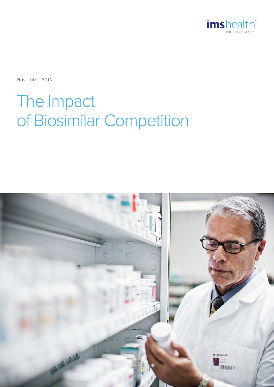

November 2015

# The Impact of Biosimilar Competition

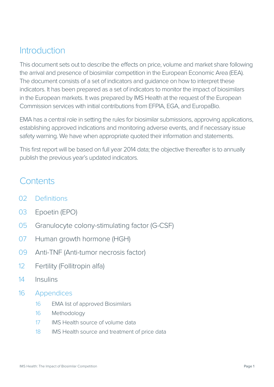### **Introduction**

This document sets out to describe the effects on price, volume and market share following the arrival and presence of biosimilar competition in the European Economic Area (EEA). The document consists of a set of indicators and guidance on how to interpret these indicators. It has been prepared as a set of indicators to monitor the impact of biosimilars in the European markets. It was prepared by IMS Health at the request of the European Commission services with initial contributions from EFPIA, EGA, and EuropaBio.

EMA has a central role in setting the rules for biosimilar submissions, approving applications, establishing approved indications and monitoring adverse events, and if necessary issue safety warning. We have when appropriate quoted their information and statements.

This first report will be based on full year 2014 data; the objective thereafter is to annually publish the previous year's updated indicators.

### **Contents**

- 02 Definitions
- 03 Epoetin (EPO)
- 05 Granulocyte colony-stimulating factor (G-CSF)
- 07 Human growth hormone (HGH)
- 09 Anti-TNF (Anti-tumor necrosis factor)
- 12 Fertility (Follitropin alfa)
- 14 Insulins
- 16 Appendices
	- 16 EMA list of approved Biosimilars
	- 16 Methodology
	- 17 IMS Health source of volume data
	- 18 IMS Health source and treatment of price data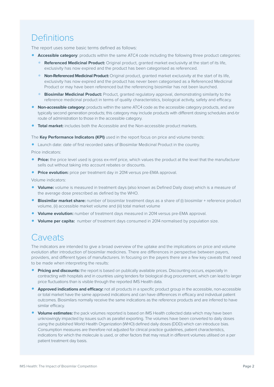## **Definitions**

The report uses some basic terms defined as follows:

- **Accessible category**: products within the same ATC4 code including the following three product categories:
	- **• Referenced Medicinal Product:** Original product, granted market exclusivity at the start of its life, exclusivity has now expired and the product has been categorised as referenced.
	- **• Non-Referenced Medicinal Product:** Original product, granted market exclusivity at the start of its life, exclusivity has now expired and the product has never been categorised as a Referenced Medicinal Product or may have been referenced but the referencing biosimilar has not been launched.
	- **• Biosimilar Medicinal Product:** Product, granted regulatory approval, demonstrating similarity to the reference medicinal product in terms of quality characteristics, biological activity, safety and efficacy.
- **• Non-accessible category:** products within the same ATC4 code as the accessible category products, and are typically second generation products; this category may include products with different dosing schedules and /or route of administration to those in the accessible category.
- **• Total market:** includes both the Accessible and the Non-accessible product markets.

The **Key Performance Indicators (KPI)** used in the report focus on price and volume trends:

**•** Launch date: date of first recorded sales of Biosimilar Medicinal Product in the country.

Price indicators:

- **• Price:** the price level used is gross ex-mnf price, which values the product at the level that the manufacturer sells out without taking into account rebates or discounts.
- **•• Price evolution:** price per treatment day in 2014 versus pre-EMA approval.<br>Volume indicators:

Volume indicators:

- **• Volume:** volume is measured in treatment days (also known as Defined Daily dose) which is a measure of the average dose prescribed as defined by the WHO.
- **•• Biosimilar market share:** number of biosimilar treatment days as a share of (i) biosimilar + reference product<br>
■**Biosimilar market share:** number of biosimilar treatment days as a share of (i) biosimilar + reference volume, (ii) accessible market volume and (iii) total market volume
- **• Volume evolution:** number of treatment days measured in 2014 versus pre-EMA approval.
- **• Volume per capita:** number of treatment days consumed in 2014 normalised by population size.

### **Caveats**

The indicators are intended to give a broad overview of the uptake and the implications on price and volume evolution after introduction of biosimilar medicines. There are differences in perspective between payers, providers, and different types of manufacturers. In focusing on the payers there are a few key caveats that need to be made when interpreting the results:

- **• Pricing and discounts:** the report is based on publically available prices. Discounting occurs, especially in contracting with hospitals and in countries using tenders for biological drug procurement, which can lead to larger price fluctuations than is visible through the reported IMS Health data.
- **• Approved indications and efficacy:** not all products in a specific product group in the accessible, non-accessible or total market have the same approved indications and can have differences in efficacy and individual patient outcomes. Biosimilars normally receive the same indications as the reference products and are inferred to have similar efficacy.
- **• Volume estimates:** the pack volumes reported is based on IMS Health collected data which may have been unknowingly impacted by issues such as parallel exporting. The volumes have been converted to daily doses using the published World Health Organization (WHO) defined daily doses (DDD) which can introduce bias. Consumption measures are therefore not adjusted for clinical practice guidelines, patient characteristics, indications for which the molecule is used, or other factors that may result in different volumes utilised on a per patient treatment day basis.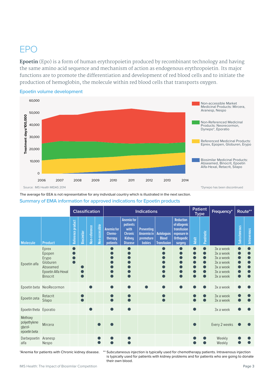### EPO

**Epoetin** (Epo) is a form of human erythropoietin produced by recombinant technology and having the same amino acid sequence and mechanism of action as endogenous erythropoietin. Its major functions are to promote the differentiation and development of red blood cells and to initiate the production of hemoglobin, the molecule within red blood cells that transports oxygen.



**Epoetin volume development**

The average for EEA is not representative for any individual country which is illustrated in the next section. **Summary of EMA information for approved indications for Epoetin products**

|                                                    |                                                                                           | <b>Classification</b> |                   |               |                | <b>Indications</b>                                 |                                                                                            |                                                               |                                                         |                                                                                         | <b>Patient</b><br><b>Type</b> |            | Frequency*                                                                              | Route**      |             |
|----------------------------------------------------|-------------------------------------------------------------------------------------------|-----------------------|-------------------|---------------|----------------|----------------------------------------------------|--------------------------------------------------------------------------------------------|---------------------------------------------------------------|---------------------------------------------------------|-----------------------------------------------------------------------------------------|-------------------------------|------------|-----------------------------------------------------------------------------------------|--------------|-------------|
| <b>Molecule</b>                                    | <b>Product</b>                                                                            | Reference product     | <b>Biosimilar</b> | Non-reference | Non-accessible | <b>Anemia</b> for<br>Chemo-<br>therapy<br>patients | <b>Anemia for</b><br>patients<br>with<br><b>Chronic</b><br><b>Kidney</b><br><b>Disease</b> | <b>Preventing</b><br>Anaemia in<br>premature<br><b>babies</b> | <b>Autologuos</b><br><b>Blood</b><br><b>Transfusion</b> | <b>Reduction</b><br>of allogenic<br>transfusion<br>exposure in<br>Orthopedic<br>surgery | <b>Adult</b>                  | Paedriatic |                                                                                         | Subcutaneous | Intravenous |
| Epoetin alfa                                       | Eprex<br>Epopen<br>Erypo<br>Globuren<br>Abseamed<br>Epoetin Alfa Hexal<br><b>Binocrit</b> |                       |                   |               |                | o<br>D                                             |                                                                                            |                                                               |                                                         | $\bullet$<br>$\bullet$<br>$\bullet$<br>$\bullet$<br>$\bullet$<br>$\bullet$              |                               |            | 3x a week<br>3x a week<br>3x a week<br>3x a week<br>3x a week<br>3x a week<br>3x a week | ●            |             |
|                                                    | Epoetin beta NeoRecormon                                                                  |                       |                   |               |                | $\bullet$                                          | ●                                                                                          | $\bullet$                                                     |                                                         | $\bullet$                                                                               |                               |            | 3x a week                                                                               |              |             |
| Epoetin zeta                                       | Retacrit<br>Silapo                                                                        |                       |                   |               |                | $\bullet$                                          |                                                                                            |                                                               |                                                         |                                                                                         |                               |            | 3x a week<br>3x a week                                                                  |              |             |
| Epoetin theta Eporatio                             |                                                                                           |                       |                   |               |                | $\bullet$                                          |                                                                                            |                                                               |                                                         |                                                                                         |                               |            | 3x a week                                                                               |              |             |
| Methoxy<br>polyethylene<br>glycol-<br>epoetin beta | Mircera                                                                                   |                       |                   |               |                |                                                    |                                                                                            |                                                               |                                                         |                                                                                         |                               |            | Every 2 weeks                                                                           |              |             |
| Darbepoetin<br>alfa                                | Aranesp<br>Nespo                                                                          |                       |                   |               |                |                                                    |                                                                                            |                                                               |                                                         |                                                                                         |                               |            | Weekly<br>Weekly                                                                        |              |             |

\*Anemia for patients with Chronic kidney disease. \*\* Subcutaneous injection is typically used for chemotherapy patients. Intravenous injection is typically used for patients with kidney problems and for patients who are going to donate their own blood.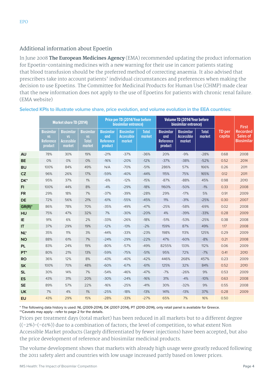#### Additional information about Epoetin

In June 2008 **The European Medicines Agency** (EMA) recommended updating the product information for Epoetin-containing medicines with a new warning for their use in cancer patients stating that blood transfusion should be the preferred method of correcting anaemia. It also advised that prescribers take into account patients' individual circumstances and preferences when making the decision to use Epoetins. The Committee for Medicinal Products for Human Use (CHMP) made clear that the new information does not apply to the use of Epoetins for patients with chronic renal failure. (EMA website)

|                 | <b>Market share TD (2014)</b>                                 |                                                               | Price per TD (2014/Year before<br>biosimilar entrance)   |                                                         |                                                  |                        | Volume TD (2014/Year before<br>biosimilar entrance) |                                                  |                        | <b>First</b>            |                                                  |
|-----------------|---------------------------------------------------------------|---------------------------------------------------------------|----------------------------------------------------------|---------------------------------------------------------|--------------------------------------------------|------------------------|-----------------------------------------------------|--------------------------------------------------|------------------------|-------------------------|--------------------------------------------------|
|                 | <b>Biosimilar</b><br><b>VS</b><br><b>Reference</b><br>product | <b>Biosimilar</b><br><b>VS</b><br><b>Accessible</b><br>market | <b>Biosimilar</b><br><b>VS</b><br><b>Total</b><br>market | <b>Biosimilar</b><br>and<br><b>Reference</b><br>product | <b>Biosimilar</b><br><b>Accessible</b><br>market | <b>Total</b><br>market | <b>Biosimilar</b><br>and<br>Reference<br>product    | <b>Biosimilar</b><br><b>Accessible</b><br>market | <b>Total</b><br>market | <b>TD</b> per<br>capita | <b>Recorded</b><br>Sales of<br><b>Biosimilar</b> |
| AU              | 78%                                                           | 30%                                                           | 19%                                                      | $-21%$                                                  | $-37%$                                           | $-36%$                 | 20%                                                 | $-9%$                                            | $-28%$                 | 0.68                    | 2008                                             |
| <b>BE</b>       | 0%                                                            | 0%                                                            | 0%                                                       | $-16%$                                                  | $-20%$                                           | $-12%$                 | $-37%$                                              | $-38%$                                           | $-52%$                 | 0.52                    | 2014                                             |
| <b>BU</b>       | 100%                                                          | 84%                                                           | 49%                                                      | N/A                                                     | $-70%$                                           | $-51%$                 | 286%                                                | 57%                                              | 166%                   | 0.26                    | 2011                                             |
| CZ              | 96%                                                           | 26%                                                           | 17%                                                      | $-59%$                                                  | $-40%$                                           | $-44%$                 | 115%                                                | 75%                                              | 165%                   | 0.12                    | 2011                                             |
| DK <sup>*</sup> | 95%                                                           | 37%                                                           | 1%                                                       | $-6%$                                                   | $-12%$                                           | $-15%$                 | $-87%$                                              | $-88%$                                           | 45%                    | 0.98                    | 2010                                             |
| FI.             | 100%                                                          | 44%                                                           | 8%                                                       | $-4%$                                                   | $-29%$                                           | $-18%$                 | 1160%                                               | $-50%$                                           | $-1%$                  | 0.33                    | 2008                                             |
| <b>FR</b>       | 29%                                                           | 18%                                                           | 7%                                                       | $-37%$                                                  | $-39%$                                           | $-28%$                 | 29%                                                 | $-17%$                                           | 5%                     | 0.91                    | 2009                                             |
| <b>DE</b>       | 72%                                                           | 56%                                                           | 21%                                                      | $-61%$                                                  | $-55%$                                           | $-45%$                 | 11%                                                 | $-31%$                                           | $-25%$                 | 0.30                    | 2007                                             |
| $GR(R)^*$       | 86%                                                           | 78%                                                           | 70%                                                      | $-35%$                                                  | $-49%$                                           | $-47%$                 | $-25%$                                              | $-58%$                                           | $-69%$                 | 0.02                    | 2008                                             |
| <b>HU</b>       | 75%                                                           | 47%                                                           | 32%                                                      | 7%                                                      | $-30%$                                           | $-20%$                 | 4%                                                  | $-39%$                                           | $-33%$                 | 0.28                    | 2009                                             |
| IE              | 91%                                                           | 6%                                                            | 2%                                                       | $-33%$                                                  | $-26%$                                           | $-18%$                 | $-51%$                                              | $-53%$                                           | $-25%$                 | 0.38                    | 2008                                             |
| IT              | 37%                                                           | 29%                                                           | 19%                                                      | $-12%$                                                  | $-13%$                                           | $-2%$                  | 159%                                                | 87%                                              | 49%                    | 1.17                    | 2008                                             |
| $NL^*$          | 35%                                                           | 11%                                                           | 3%                                                       | $-44%$                                                  | $-33%$                                           | $-23%$                 | 198%                                                | 113%                                             | 125%                   | 0.29                    | 2009                                             |
| <b>NO</b>       | 88%                                                           | 61%                                                           | 7%                                                       | $-24%$                                                  | $-29%$                                           | $-22%$                 | 47%                                                 | $-60%$                                           | $-8%$                  | 0.21                    | 2008                                             |
| <b>PL</b>       | 83%                                                           | 24%                                                           | 19%                                                      | $-80%$                                                  | $-57%$                                           | $-49%$                 | 8255%                                               | 133%                                             | 112%                   | 0.06                    | 2009                                             |
| PT <sup>*</sup> | 80%                                                           | 21%                                                           | 13%                                                      | $-59%$                                                  | $-75%$                                           | $-51%$                 | 95%                                                 | 72%                                              | $-7%$                  | 0.41                    | 2010                                             |
| <b>RO</b>       | 36%                                                           | 12%                                                           | 8%                                                       | $-43%$                                                  | $-40%$                                           | $-42%$                 | 446%                                                | 268%                                             | 457%                   | 0.23                    | 2009                                             |
| <b>SK</b>       | 100%                                                          | 70%                                                           | 48%                                                      | $-60%$                                                  | $-67%$                                           | $-61%$                 | 125%                                                | 32%                                              | 84%                    | 0.52                    | 2010                                             |
| <b>SL</b>       | 30%                                                           | 14%                                                           | 7%                                                       | $-54%$                                                  | $-46%$                                           | $-47%$                 | $-7%$                                               | $-26%$                                           | 9%                     | 0.53                    | 2009                                             |
| ES              | 43%                                                           | 31%                                                           | 20%                                                      | $-30%$                                                  | $-24%$                                           | $-16%$                 | 31%                                                 | $-4%$                                            | $-10%$                 | 0.63                    | 2008                                             |
| <b>SE</b>       | 89%                                                           | 57%                                                           | 22%                                                      | $-16%$                                                  | $-25%$                                           | $-41%$                 | 30%                                                 | $-32%$                                           | 9%                     | 0.55                    | 2008                                             |
| <b>UK</b>       | 7%                                                            | 4%                                                            | 1%                                                       | $-25%$                                                  | $-18%$                                           | $-13%$                 | 141%                                                | $-13%$                                           | 37%                    | 0.28                    | 2009                                             |
| <b>EU</b>       | 43%                                                           | 29%                                                           | 15%                                                      | $-28%$                                                  | $-33%$                                           | $-27%$                 | 65%                                                 | 7%                                               | 16%                    | 0.50                    |                                                  |

#### **Selected KPIs to illustrate volume share, price evolution, and volume evolution in the EEA countries:**

\* The following data history is used: NL (2009-2014), DK (2007-2014), PT (2010-2014), only retail panel is available for Greece. \*\*Caveats may apply - refer to page 2 for the details.

Prices per treatment days (total market) has been reduced in all markets but to a different degree  $((-2\%) - (-61\%)$  due to a combination of factors; the level of competition, to what extent Non Accessible Market products (largely differentiated by fewer injections) have been accepted, but also the price development of reference and biosimilar medicinal products.

The volume development shows that markets with already high usage were greatly reduced following the 2011 safety alert and countries with low usage increased partly based on lower prices.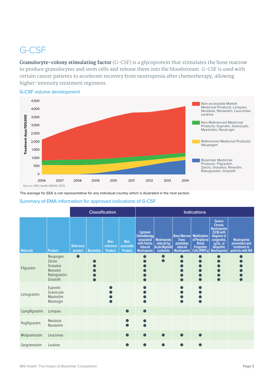## G-CSF

**Granulocyte-colony stimulating factor** (G-CSF) is a glycoprotein that stimulates the bone marrow to produce granulocytes and stem cells and release them into the bloodstream. G-CSF is used with certain cancer patients to accelerate recovery from neutropenia after chemotherapy, allowing higher-intensity treatment regimens.



**G-CSF volume development**

The average for EEA is not representative for any individual country which is illustrated in the next section.

#### **Summary of EMA information for approved indications of G-CSF**

|                 |                                                                         |                      | <b>Classification</b> |                                     | <b>Indications</b>                   |                                                                                                        |                                                               |                                                                             |                                                                                     |                                                                                                                                                     |                                                                           |
|-----------------|-------------------------------------------------------------------------|----------------------|-----------------------|-------------------------------------|--------------------------------------|--------------------------------------------------------------------------------------------------------|---------------------------------------------------------------|-----------------------------------------------------------------------------|-------------------------------------------------------------------------------------|-----------------------------------------------------------------------------------------------------------------------------------------------------|---------------------------------------------------------------------------|
| Molecule        | <b>Product</b>                                                          | Reference<br>product | <b>Biosimilar</b>     | Non-<br>reference<br><b>Product</b> | Non-<br>accessible<br><b>Product</b> | <b>Cytotoxic</b><br><b>Chemotherapy</b><br>associated<br>with Febrile<br>induced<br><b>Neutropenia</b> | <b>Neutropenia</b><br>induced by<br>Acute Myeloid<br>Leukemia | <b>Bone Marrow</b><br>Trans-<br>plantation<br>induced<br><b>Neutropenia</b> | <b>Mobilisation</b><br>of Peripheral<br><b>Blood</b><br>Progenitor<br>Cells (PBPCs) | <b>Severe</b><br><b>Chronic</b><br><b>Neutropenia</b><br>(SCN) with<br>diagnois of<br>congenital,<br>cyclic, or<br>idiopathic<br><b>Neutropenia</b> | <b>Neutropenia</b><br>prevention and<br>treatment in<br>patients with HIV |
| Filgrastim      | Neupogen<br>Zarzio<br>Grasalva<br>Nivestim<br>Ratiograstim<br>Grastofil |                      |                       |                                     |                                      |                                                                                                        |                                                               |                                                                             |                                                                                     | $\bullet$                                                                                                                                           |                                                                           |
| Lenograstim     | Euprotin<br>Granocyte<br>Myelostim<br>Neutrogin                         |                      |                       |                                     |                                      |                                                                                                        |                                                               |                                                                             |                                                                                     |                                                                                                                                                     |                                                                           |
| Lipegfilgrastim | Longuex                                                                 |                      |                       |                                     | ●                                    |                                                                                                        |                                                               |                                                                             |                                                                                     |                                                                                                                                                     |                                                                           |
| Pegfilgrastim   | Neulasta<br>Neulastim                                                   |                      |                       |                                     |                                      |                                                                                                        |                                                               |                                                                             |                                                                                     |                                                                                                                                                     |                                                                           |
| Molgramostim    | Leucomax                                                                |                      |                       |                                     | $\bullet$                            |                                                                                                        |                                                               |                                                                             |                                                                                     |                                                                                                                                                     |                                                                           |
| Sargramostim    | Leukine                                                                 |                      |                       |                                     |                                      |                                                                                                        |                                                               |                                                                             |                                                                                     |                                                                                                                                                     |                                                                           |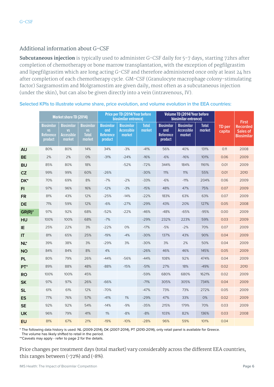#### Additional information about G-CSF

**Subcutaneous injection** is typically used to administer G-CSF daily for 5-7 days, starting 72hrs after completion of chemotherapy or bone marrow transplantation, with the exception of pegfilgrastim and lipegfilgrastim which are long acting G-CSF and therefore administered once only at least 24 hrs after completion of each chemotherapy cycle. GM-CSF (Granulocyte macrophage colony-stimulating factor) Sargramostim and Molgramostim are given daily, most often as a subcutaneous injection (under the skin), but can also be given directly into a vein (intravenous, IV).

|                 | <b>Market share TD (2014)</b>                                 |                                                               | Price per TD (2014/Year before<br>biosimilar entrance)   |                                                         |                                                  | <b>Volume TD (2014/Year before</b><br>biosimilar entrance) |                                                         |                                                  |                        | <b>First</b>     |                                                  |
|-----------------|---------------------------------------------------------------|---------------------------------------------------------------|----------------------------------------------------------|---------------------------------------------------------|--------------------------------------------------|------------------------------------------------------------|---------------------------------------------------------|--------------------------------------------------|------------------------|------------------|--------------------------------------------------|
|                 | <b>Biosimilar</b><br><b>VS</b><br><b>Reference</b><br>product | <b>Biosimilar</b><br><b>VS</b><br><b>Accessible</b><br>market | <b>Biosimilar</b><br><b>VS</b><br><b>Total</b><br>market | <b>Biosimilar</b><br>and<br><b>Reference</b><br>product | <b>Biosimilar</b><br><b>Accessible</b><br>market | <b>Total</b><br>market                                     | <b>Biosimilar</b><br>and<br><b>Reference</b><br>product | <b>Biosimilar</b><br><b>Accessible</b><br>market | <b>Total</b><br>market | TD per<br>capita | <b>Recorded</b><br>Sales of<br><b>Biosimilar</b> |
| <b>AU</b>       | 80%                                                           | 80%                                                           | 14%                                                      | 34%                                                     | $-3%$                                            | $-41%$                                                     | 56%                                                     | 40%                                              | 131%                   | 0.11             | 2008                                             |
| <b>BE</b>       | 2%                                                            | 2%                                                            | 0%                                                       | $-31%$                                                  | $-24%$                                           | $-16%$                                                     | $-6%$                                                   | $-16%$                                           | 101%                   | 0.06             | 2009                                             |
| <b>BU</b>       | 85%                                                           | 80%                                                           | 18%                                                      |                                                         | $-52%$                                           | $-72%$                                                     | 344%                                                    | 184%                                             | 1161%                  | 0.01             | 2009                                             |
| CZ              | 99%                                                           | 99%                                                           | 60%                                                      | $-26%$                                                  |                                                  | $-30%$                                                     | 11%                                                     | 11%                                              | 55%                    | 0.01             | 2010                                             |
| DK*             | 70%                                                           | 69%                                                           | 8%                                                       | $-7%$                                                   | $-2%$                                            | $-33%$                                                     | $-6%$                                                   | $-11%$                                           | 204%                   | 0.06             | 2009                                             |
| FI.             | 97%                                                           | 96%                                                           | 16%                                                      | $-12%$                                                  | $-3%$                                            | $-15%$                                                     | 48%                                                     | 47%                                              | 75%                    | 0.07             | 2009                                             |
| <b>FR</b>       | 81%                                                           | 43%                                                           | 12%                                                      | $-25%$                                                  | $-14%$                                           | $-22%$                                                     | 183%                                                    | 63%                                              | 63%                    | 0.07             | 2009                                             |
| <b>DE</b>       | 71%                                                           | 59%                                                           | 12%                                                      | $-6%$                                                   | $-27%$                                           | $-29%$                                                     | 43%                                                     | 20%                                              | 127%                   | 0.05             | 2008                                             |
| $GR(R)^*$       | 97%                                                           | 92%                                                           | 68%                                                      | $-52%$                                                  | $-22%$                                           | $-46%$                                                     | $-48%$                                                  | $-65%$                                           | $-95%$                 | 0.00             | 2009                                             |
| HU              | 100%                                                          | 100%                                                          | 68%                                                      | $-7%$                                                   |                                                  | $-29%$                                                     | 232%                                                    | 223%                                             | 59%                    | 0.03             | 2009                                             |
| IE              | 25%                                                           | 22%                                                           | 3%                                                       | $-22%$                                                  | 0%                                               | $-17%$                                                     | $-5%$                                                   | $-2%$                                            | 70%                    | 0.07             | 2009                                             |
| IT              | 81%                                                           | 65%                                                           | 25%                                                      | $-19%$                                                  | $-4%$                                            | $-30%$                                                     | 137%                                                    | 43%                                              | 90%                    | 0.04             | 2009                                             |
| $NL^*$          | 39%                                                           | 38%                                                           | 3%                                                       | $-29%$                                                  | 3%                                               | $-30%$                                                     | 3%                                                      | 2%                                               | 50%                    | 0.04             | 2009                                             |
| <b>NO</b>       | 84%                                                           | 84%                                                           | 8%                                                       | 4%                                                      |                                                  | $-26%$                                                     | 46%                                                     | 46%                                              | 145%                   | 0.05             | 2009                                             |
| <b>PL</b>       | 80%                                                           | 79%                                                           | 26%                                                      | $-44%$                                                  | -56%                                             | $-44%$                                                     | 108%                                                    | 92%                                              | 474%                   | 0.04             | 2009                                             |
| PT <sup>*</sup> | 89%                                                           | 88%                                                           | 48%                                                      | $-88%$                                                  | $-15%$                                           | $-51%$                                                     | 27%                                                     | 18%                                              | $-49%$                 | 0.02             | 2010                                             |
| <b>RO</b>       | 100%                                                          | 100%                                                          | 45%                                                      |                                                         |                                                  | $-59%$                                                     | 680%                                                    | 680%                                             | 1621%                  | 0.02             | 2009                                             |
| <b>SK</b>       | 97%                                                           | 97%                                                           | 26%                                                      | $-66%$                                                  |                                                  | $-71%$                                                     | 305%                                                    | 305%                                             | 734%                   | 0.04             | 2009                                             |
| <b>SL</b>       | 61%                                                           | 61%                                                           | 12%                                                      | $-70%$                                                  |                                                  | $-47%$                                                     | 73%                                                     | 73%                                              | 272%                   | 0.05             | 2009                                             |
| <b>ES</b>       | 77%                                                           | 76%                                                           | 57%                                                      | $-41%$                                                  | 1%                                               | $-29%$                                                     | 47%                                                     | 33%                                              | 0%                     | 0.02             | 2009                                             |
| <b>SE</b>       | 92%                                                           | 92%                                                           | 54%                                                      | $-14%$                                                  | $-9%$                                            | $-35%$                                                     | 215%                                                    | 179%                                             | 70%                    | 0.03             | 2009                                             |
| <b>UK</b>       | 96%                                                           | 79%                                                           | 41%                                                      | 1%                                                      | $-8%$                                            | $-8%$                                                      | 103%                                                    | 82%                                              | 136%                   | 0.03             | 2008                                             |
| <b>EU</b>       | 81%                                                           | 67%                                                           | 21%                                                      | $-19%$                                                  | $-10%$                                           | $-28%$                                                     | 96%                                                     | 59%                                              | 101%                   | 0.04             |                                                  |

#### **Selected KPIs to illustrate volume share, price evolution, and volume evolution in the EEA countries:**

\* The following data history is used: NL (2009-2014), DK (2007-2014), PT (2010-2014), only retail panel is available for Greece.

The volume has likely shifted to retail in the period.

\*\*Caveats may apply - refer to page 2 for the details.

Price changes per treatment days (total market) vary considerably across the different EEA countries, this ranges between  $(-72%)$  and  $(-8%)$ .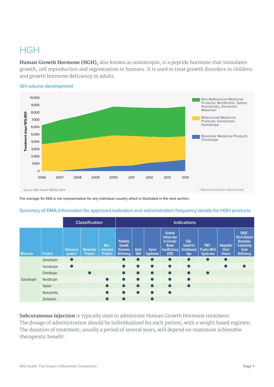### **HGH**

**Human Growth Hormone (HGH),** also known as somatropin, is a peptide hormone that stimulates growth, cell reproduction and regeneration in humans. It is used to treat growth disorders in children and growth hormone deficiency in adults.



#### **GH volume development**

The average for EEA is not representative for any individual country which is illustrated in the next section.

|                 |                   | <b>Classification</b> | <b>Indications</b>           |                                     |                                                                          |                            |                                  |                                                                                      |                                                          |                                                |                                                     |                                                                                             |
|-----------------|-------------------|-----------------------|------------------------------|-------------------------------------|--------------------------------------------------------------------------|----------------------------|----------------------------------|--------------------------------------------------------------------------------------|----------------------------------------------------------|------------------------------------------------|-----------------------------------------------------|---------------------------------------------------------------------------------------------|
| <b>Molecule</b> | <b>Product</b>    | Reference<br>product  | <b>Biosimilar</b><br>Product | Non-<br>reference<br><b>Product</b> | <b>Pediatric</b><br><b>Growth</b><br><b>Hormone</b><br><b>Deficiency</b> | <b>Adult</b><br><b>GHD</b> | <b>Turner</b><br><b>Syndrome</b> | Growth<br>failure due<br>to Chronic<br><b>Renal</b><br><b>Insufficiency</b><br>(CRI) | $SGA -$<br><b>Small for</b><br><b>Gestational</b><br>Age | PWS-<br><b>Prader-Willi</b><br><b>Syndrome</b> | <b>Idiopathic</b><br><b>Short</b><br><b>Stature</b> | SHOX-<br><b>Short-Stature</b><br>Homebox-<br><b>Containing</b><br>Gene<br><b>Deficiency</b> |
|                 | Genotropin        | $\bullet$             |                              |                                     | $\bullet$                                                                | $\bullet$                  | $\bullet$                        | $\bullet$                                                                            | $\bullet$                                                | $\bullet$                                      | $\bullet$                                           |                                                                                             |
|                 | Humatrope         | $\bullet$             |                              |                                     | $\bullet$                                                                | $\bullet$                  | $\bullet$                        | $\bullet$                                                                            | $\bullet$                                                |                                                | $\bullet$                                           |                                                                                             |
|                 | Omnitrope         |                       | $\bullet$                    |                                     | $\bullet$                                                                | $\bullet$                  | $\bullet$                        | $\bullet$                                                                            | $\bullet$                                                | $\bullet$                                      |                                                     |                                                                                             |
| Somatropin      | Norditropin       |                       |                              | $\bullet$                           | $\bullet$                                                                | $\bullet$                  | $\bullet$                        | $\bullet$                                                                            | $\bullet$                                                |                                                |                                                     |                                                                                             |
|                 | Saizen            |                       |                              |                                     | $\bullet$                                                                | $\bullet$                  | $\bullet$                        | $\bullet$                                                                            | $\bullet$                                                |                                                |                                                     |                                                                                             |
|                 | <b>NutropinAq</b> |                       |                              |                                     | $\bullet$                                                                | $\bullet$                  | $\bullet$                        | $\bullet$                                                                            |                                                          |                                                |                                                     |                                                                                             |
|                 | Zomacton          |                       |                              | $\bullet$                           |                                                                          |                            | $\bullet$                        |                                                                                      |                                                          |                                                |                                                     |                                                                                             |

#### **Summary of EMA information for approved indication and administration frequency details for HGH products**

**Subcutaneous injection** is typically used to administer Human Growth Hormone treatment. The dosage of administration should be individualised for each patient, with a weight based regimen. The duration of treatment, usually a period of several years, will depend on maximum achievable therapeutic benefit.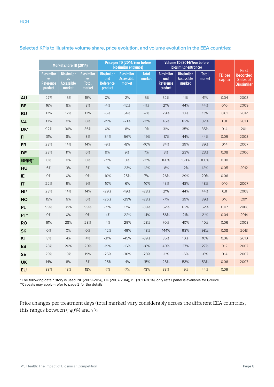|                 | <b>Market share TD (2014)</b>                                 |                                                               |                                                          | Price per TD (2014/Year before<br>biosimilar entrance)  |                                                  |                        | <b>Volume TD (2014/Year before</b><br>biosimilar entrance) |                                                  |                        |                         | <b>First</b>                                     |
|-----------------|---------------------------------------------------------------|---------------------------------------------------------------|----------------------------------------------------------|---------------------------------------------------------|--------------------------------------------------|------------------------|------------------------------------------------------------|--------------------------------------------------|------------------------|-------------------------|--------------------------------------------------|
|                 | <b>Biosimilar</b><br><b>VS</b><br><b>Reference</b><br>product | <b>Biosimilar</b><br><b>VS</b><br><b>Accessible</b><br>market | <b>Biosimilar</b><br><b>VS</b><br><b>Total</b><br>market | <b>Biosimilar</b><br>and<br><b>Reference</b><br>product | <b>Biosimilar</b><br><b>Accessible</b><br>market | <b>Total</b><br>market | <b>Biosimilar</b><br>and<br>Reference<br>product           | <b>Biosimilar</b><br><b>Accessible</b><br>market | <b>Total</b><br>market | <b>TD</b> per<br>capita | <b>Recorded</b><br>Sales of<br><b>Biosimilar</b> |
| <b>AU</b>       | 27%                                                           | 15%                                                           | 15%                                                      | $0\%$                                                   | $-2%$                                            | $-5%$                  | 32%                                                        | 41%                                              | 41%                    | 0.04                    | 2008                                             |
| <b>BE</b>       | 16%                                                           | 8%                                                            | 8%                                                       | $-4%$                                                   | $-12%$                                           | $-11%$                 | 21%                                                        | 44%                                              | 44%                    | 0.10                    | 2009                                             |
| <b>BU</b>       | 12%                                                           | 12%                                                           | 12%                                                      | $-5%$                                                   | 64%                                              | $-7%$                  | 29%                                                        | 13%                                              | 13%                    | 0.01                    | 2012                                             |
| CZ              | 13%                                                           | 0%                                                            | 0%                                                       | $-19%$                                                  | $-21%$                                           | $-21%$                 | 46%                                                        | 82%                                              | 82%                    | 0.11                    | 2010                                             |
| DK*             | 92%                                                           | 36%                                                           | 36%                                                      | 0%                                                      | $-8%$                                            | $-9%$                  | 31%                                                        | 35%                                              | 35%                    | 0.14                    | 2011                                             |
| FI.             | 31%                                                           | $8\%$                                                         | $8\%$                                                    | $-34%$                                                  | -56%                                             | $-49%$                 | $-17%$                                                     | 44%                                              | 44%                    | 0.09                    | 2008                                             |
| <b>FR</b>       | 28%                                                           | 14%                                                           | 14%                                                      | $-9%$                                                   | $-8%$                                            | $-10%$                 | 34%                                                        | 39%                                              | 39%                    | 0.14                    | 2007                                             |
| <b>DE</b>       | 23%                                                           | 11%                                                           | 6%                                                       | 9%                                                      | 9%                                               | 7%                     | 3%                                                         | 23%                                              | 23%                    | 0.08                    | 2006                                             |
| $GR(R)^*$       | 0%                                                            | 0%                                                            | 0%                                                       | $-21%$                                                  | 0%                                               | $-21%$                 | 160%                                                       | 160%                                             | 160%                   | 0.00                    |                                                  |
| HU              | 6%                                                            | 3%                                                            | 3%                                                       | $-1%$                                                   | $-23%$                                           | $-12%$                 | $-8%$                                                      | 12%                                              | 12%                    | 0.05                    | 2012                                             |
| IE.             | 0%                                                            | 0%                                                            | 0%                                                       | $-10%$                                                  | 25%                                              | 7%                     | 26%                                                        | 29%                                              | 29%                    | 0.06                    |                                                  |
| IT              | 22%                                                           | 9%                                                            | 9%                                                       | $-10%$                                                  | $-6%$                                            | $-10%$                 | 43%                                                        | 48%                                              | 48%                    | 0.10                    | 2007                                             |
| $NL^*$          | 28%                                                           | 14%                                                           | 14%                                                      | $-29%$                                                  | $-19%$                                           | $-28%$                 | 21%                                                        | 44%                                              | 44%                    | 0.11                    | 2008                                             |
| <b>NO</b>       | 15%                                                           | 6%                                                            | 6%                                                       | $-26%$                                                  | $-29%$                                           | $-28%$                 | $-7%$                                                      | 39%                                              | 39%                    | 0.16                    | 2011                                             |
| <b>PL</b>       | 99%                                                           | 99%                                                           | 99%                                                      | $-21%$                                                  | 17%                                              | $-39%$                 | 62%                                                        | 62%                                              | 62%                    | 0.07                    | 2008                                             |
| PT <sup>*</sup> | 0%                                                            | 0%                                                            | 0%                                                       | $-4%$                                                   | $-22%$                                           | $-14%$                 | 56%                                                        | 21%                                              | 21%                    | 0.04                    | 2014                                             |
| <b>RO</b>       | 61%                                                           | 28%                                                           | 28%                                                      | $-4%$                                                   | $-29%$                                           | $-28%$                 | 70%                                                        | 40%                                              | 40%                    | 0.06                    | 2008                                             |
| <b>SK</b>       | 0%                                                            | 0%                                                            | 0%                                                       | $-42%$                                                  | $-49%$                                           | $-48%$                 | 144%                                                       | 98%                                              | 98%                    | 0.08                    | 2013                                             |
| <b>SL</b>       | 8%                                                            | 4%                                                            | 4%                                                       | $-31%$                                                  | $-45%$                                           | $-39%$                 | 36%                                                        | 10%                                              | 10%                    | 0.06                    | 2010                                             |
| <b>ES</b>       | 28%                                                           | 20%                                                           | 20%                                                      | $-19%$                                                  | $-16%$                                           | $-18%$                 | 40%                                                        | 27%                                              | 27%                    | 0.12                    | 2007                                             |
| <b>SE</b>       | 29%                                                           | 19%                                                           | 19%                                                      | $-25%$                                                  | $-30%$                                           | $-28%$                 | $-11%$                                                     | $-6%$                                            | $-6%$                  | 0.14                    | 2007                                             |
| <b>UK</b>       | 14%                                                           | 8%                                                            | 8%                                                       | $-25%$                                                  | $-4%$                                            | $-15%$                 | 28%                                                        | 53%                                              | 53%                    | 0.06                    | 2007                                             |
| <b>EU</b>       | 33%                                                           | 18%                                                           | 18%                                                      | $-7%$                                                   | $-7%$                                            | $-13%$                 | 33%                                                        | 19%                                              | 44%                    | 0.09                    |                                                  |

**Selected KPIs to illustrate volume share, price evolution, and volume evolution in the EEA countries:**

\* The following data history is used: NL (2009-2014), DK (2007-2014), PT (2010-2014), only retail panel is available for Greece.

\*\*Caveats may apply - refer to page 2 for the details.

Price changes per treatment days (total market) vary considerably across the different EEA countries, this ranges between  $(-49%)$  and  $7%$ .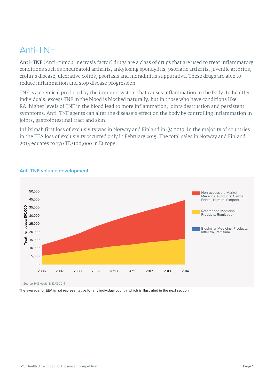# Anti-TNF

**Anti-TNF** (Anti-tumour necrosis factor) drugs are a class of drugs that are used to treat inflammatory conditions such as rheumatoid arthritis, ankylosing spondylitis, psoriatic arthritis, juvenile arthritis, crohn's disease, ulcerative colitis, psoriasis and hidradinitis suppurativa. These drugs are able to reduce inflammation and stop disease progression.

TNF is a chemical produced by the immune system that causes inflammation in the body. In healthy individuals, excess TNF in the blood is blocked naturally, but in those who have conditions like RA, higher levels of TNF in the blood lead to more inflammation, joints destruction and persistent symptoms. Anti-TNF agents can alter the disease's effect on the body by controlling inflammation in joints, gastrointestinal tract and skin.

Infliximab first loss of exclusivity was in Norway and Finland in Q4 2013. In the majority of countries in the EEA loss of exclusivity occurred only in February 2015. The total sales in Norway and Finland 2014 equates to 170 TD/100,000 in Europe.



#### **Anti-TNF volume development**

The average for EEA is not representative for any individual country which is illustrated in the next section.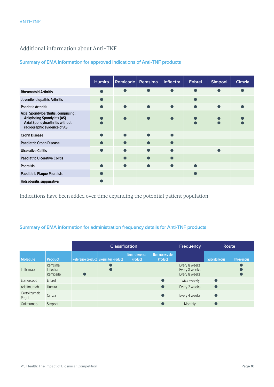#### Additional information about Anti-TNF

#### **Summary of EMA information for approved indications of Anti-TNF products**

|                                                                                                                                              | <b>Humira</b> | Remicade  | Remsima | <b>Inflectra</b> | <b>Enbrel</b> | Simponi | Cimzia |
|----------------------------------------------------------------------------------------------------------------------------------------------|---------------|-----------|---------|------------------|---------------|---------|--------|
| <b>Rheumatoid Arthritis</b>                                                                                                                  |               |           |         | ●                |               |         |        |
| Juvenile idiopathic Arthritis                                                                                                                |               |           |         |                  |               |         |        |
| <b>Psoriatic Arthritis</b>                                                                                                                   |               |           |         |                  |               |         |        |
| Axial Spondyloarthritis, comprising:<br><b>Ankylosing Spondylitis (AS)</b><br>Axial Spondyloarthritis without<br>radiographic evidence of AS |               |           |         |                  |               |         |        |
| <b>Crohn Disease</b>                                                                                                                         |               | $\bullet$ |         |                  |               |         |        |
| <b>Paediatric Crohn Disease</b>                                                                                                              |               | $\bullet$ |         |                  |               |         |        |
| <b>Ulcerative Colitis</b>                                                                                                                    |               |           |         |                  |               |         |        |
| <b>Paediatric Ulcerative Colitis</b>                                                                                                         |               | $\bullet$ |         | $\bullet$        |               |         |        |
| <b>Psoraisis</b>                                                                                                                             |               |           |         |                  |               |         |        |
| <b>Paediatric Plaque Psoraisis</b>                                                                                                           |               |           |         |                  |               |         |        |
| Hidradenitis suppurativa                                                                                                                     |               |           |         |                  |               |         |        |

Indications have been added over time expanding the potential patient population.

#### **Summary of EMA information for administration frequency details for Anti-TNF products**

|                       |                                  |           | <b>Classification</b>                  |                                 |                                  | <b>Frequency</b>                                |                     | Route       |
|-----------------------|----------------------------------|-----------|----------------------------------------|---------------------------------|----------------------------------|-------------------------------------------------|---------------------|-------------|
| <b>Molecule</b>       | <b>Product</b>                   |           | Reference product   Biosimilar Product | Non-reference<br><b>Product</b> | Non-accessible<br><b>Product</b> |                                                 | <b>Subcutaneous</b> | Intravenous |
| Infliximab            | Remsima<br>Inflectra<br>Remicade | $\bullet$ |                                        |                                 |                                  | Every 8 weeks<br>Every 8 weeks<br>Every 8 weeks |                     |             |
| Etanercept            | Enbrel                           |           |                                        |                                 |                                  | Twice weekly                                    | $\bullet$           |             |
| Adalimumab            | <b>Humira</b>                    |           |                                        |                                 | $\bullet$                        | Every 2 weeks                                   | $\bullet$           |             |
| Certolizumab<br>Pegol | Cimzia                           |           |                                        |                                 |                                  | Every 4 weeks                                   |                     |             |
| Golimumab             | Simponi                          |           |                                        |                                 |                                  | Monthly                                         |                     |             |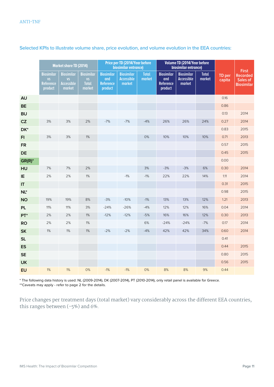|                 | <b>Market share TD (2014)</b>                          |                                                               | Price per TD (2014/Year before<br>biosimilar entrance)   |                                                         |                                           | Volume TD (2014/Year before<br>biosimilar entrance) |                                                         |                                           |                        | <b>First</b>            |                                                  |
|-----------------|--------------------------------------------------------|---------------------------------------------------------------|----------------------------------------------------------|---------------------------------------------------------|-------------------------------------------|-----------------------------------------------------|---------------------------------------------------------|-------------------------------------------|------------------------|-------------------------|--------------------------------------------------|
|                 | <b>Biosimilar</b><br><b>VS</b><br>Reference<br>product | <b>Biosimilar</b><br><b>VS</b><br><b>Accessible</b><br>market | <b>Biosimilar</b><br><b>VS</b><br><b>Total</b><br>market | <b>Biosimilar</b><br>and<br><b>Reference</b><br>product | <b>Biosimilar</b><br>Accessible<br>market | <b>Total</b><br>market                              | <b>Biosimilar</b><br>and<br><b>Reference</b><br>product | <b>Biosimilar</b><br>Accessible<br>market | <b>Total</b><br>market | <b>TD</b> per<br>capita | <b>Recorded</b><br>Sales of<br><b>Biosimilar</b> |
| <b>AU</b>       |                                                        |                                                               |                                                          |                                                         |                                           |                                                     |                                                         |                                           |                        | 0.16                    |                                                  |
| <b>BE</b>       |                                                        |                                                               |                                                          |                                                         |                                           |                                                     |                                                         |                                           |                        | 0.86                    |                                                  |
| <b>BU</b>       |                                                        |                                                               |                                                          |                                                         |                                           |                                                     |                                                         |                                           |                        | 0.13                    | 2014                                             |
| CZ              | 3%                                                     | 3%                                                            | 2%                                                       | $-7%$                                                   | $-7%$                                     | $-4%$                                               | 26%                                                     | 26%                                       | 24%                    | 0.27                    | 2014                                             |
| DK*             |                                                        |                                                               |                                                          |                                                         |                                           |                                                     |                                                         |                                           |                        | 0.83                    | 2015                                             |
| F1              | 3%                                                     | 3%                                                            | 1%                                                       |                                                         |                                           | 0%                                                  | 10%                                                     | 10%                                       | 10%                    | 0.71                    | 2013                                             |
| <b>FR</b>       |                                                        |                                                               |                                                          |                                                         |                                           |                                                     |                                                         |                                           |                        | 0.57                    | 2015                                             |
| <b>DE</b>       |                                                        |                                                               |                                                          |                                                         |                                           |                                                     |                                                         |                                           |                        | 0.45                    | 2015                                             |
| $GR(R)^*$       |                                                        |                                                               |                                                          |                                                         |                                           |                                                     |                                                         |                                           |                        | 0.00                    |                                                  |
| HU              | 7%                                                     | 7%                                                            | 2%                                                       |                                                         |                                           | $3%$                                                | $-3%$                                                   | $-3%$                                     | 6%                     | 0.30                    | 2014                                             |
| IE              | 2%                                                     | 2%                                                            | 1%                                                       |                                                         | $-1%$                                     | $-1%$                                               | 22%                                                     | 22%                                       | 14%                    | 1.11                    | 2014                                             |
| IT              |                                                        |                                                               |                                                          |                                                         |                                           |                                                     |                                                         |                                           |                        | 0.31                    | 2015                                             |
| $NL^*$          |                                                        |                                                               |                                                          |                                                         |                                           |                                                     |                                                         |                                           |                        | 0.98                    | 2015                                             |
| <b>NO</b>       | 19%                                                    | 19%                                                           | $8\%$                                                    | $-3%$                                                   | $-10%$                                    | $-1%$                                               | 13%                                                     | 13%                                       | 12%                    | 1.21                    | 2013                                             |
| <b>PL</b>       | 11%                                                    | 11%                                                           | 3%                                                       | $-24%$                                                  | $-26%$                                    | $-4%$                                               | 12%                                                     | 12%                                       | 16%                    | 0.04                    | 2014                                             |
| PT <sup>*</sup> | 2%                                                     | 2%                                                            | 1%                                                       | $-12%$                                                  | $-12%$                                    | $-5%$                                               | 16%                                                     | 16%                                       | 12%                    | 0.30                    | 2013                                             |
| <b>RO</b>       | 2%                                                     | 2%                                                            | 1%                                                       |                                                         |                                           | 6%                                                  | $-24%$                                                  | $-24%$                                    | $-7%$                  | 0.17                    | 2014                                             |
| <b>SK</b>       | 1%                                                     | 1%                                                            | 1%                                                       | $-2%$                                                   | $-2%$                                     | $-4%$                                               | 42%                                                     | 42%                                       | 34%                    | 0.60                    | 2014                                             |
| <b>SL</b>       |                                                        |                                                               |                                                          |                                                         |                                           |                                                     |                                                         |                                           |                        | 0.41                    |                                                  |
| <b>ES</b>       |                                                        |                                                               |                                                          |                                                         |                                           |                                                     |                                                         |                                           |                        | 0.44                    | 2015                                             |
| <b>SE</b>       |                                                        |                                                               |                                                          |                                                         |                                           |                                                     |                                                         |                                           |                        | 0.80                    | 2015                                             |
| <b>UK</b>       |                                                        |                                                               |                                                          |                                                         |                                           |                                                     |                                                         |                                           |                        | 0.56                    | 2015                                             |
| <b>EU</b>       | 1%                                                     | $1\%$                                                         | 0%                                                       | $-1%$                                                   | $-1%$                                     | 0%                                                  | 8%                                                      | 8%                                        | 9%                     | 0.44                    |                                                  |

**Selected KPIs to illustrate volume share, price evolution, and volume evolution in the EEA countries:**

\* The following data history is used: NL (2009-2014), DK (2007-2014), PT (2010-2014), only retail panel is available for Greece. \*\*Caveats may apply - refer to page 2 for the details.

Price changes per treatment days (total market) vary considerably across the different EEA countries, this ranges between  $(-5%)$  and 6%.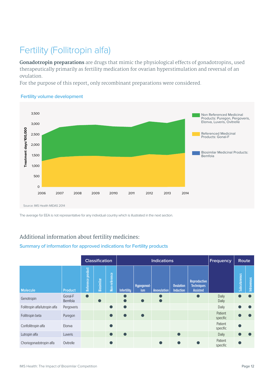# Fertility (Follitropin alfa)

**Gonadotropin preparations** are drugs that mimic the physiological effects of gonadotropins, used therapeutically primarily as fertility medication for ovarian hyperstimulation and reversal of an ovulation.

For the purpose of this report, only recombinant preparations were considered.

#### 3,500 Non Referenced Medicinal Products: Puregon, Pergoveris, Elonva, Luveris, Ovitrelle 3,000 Treatment days/100,000 **Treatment days/100,000** Referenced Medicinal 2,500 Products: Gonal-F 2,000 Biosimilar Medicinal Products: 1,500 Bemfola 1,000 500  $\Omega$ 2006 2007 2008 2009 20110 2011 2012 2013 2014 Source: IMS Health MIDAS 2014

#### **Fertility volume development**

The average for EEA is not representative for any individual country which is illustrated in the next section.

#### Additional information about fertility medicines:

#### **Summary of information for approved indications for Fertility products**

|                                |                    |                   | <b>Classification</b> |               |                    |                   | <b>Indications</b> |                                      |                                                      | <b>Frequency</b>    | Route        |             |
|--------------------------------|--------------------|-------------------|-----------------------|---------------|--------------------|-------------------|--------------------|--------------------------------------|------------------------------------------------------|---------------------|--------------|-------------|
| <b>Molecule</b>                | <b>Product</b>     | Reference product | Biosimilar            | Non-reference | <b>Infertility</b> | Hypogonad-<br>ism | <b>Anovulation</b> | <b>Ovulation</b><br><b>Induction</b> | Reproductive<br><b>Techniques</b><br><b>Assisted</b> |                     | Subcutaneous | Intravenous |
| Genotropin                     | Gonal-F<br>Bemfola | $\bullet$         | $\bullet$             |               |                    |                   |                    |                                      |                                                      | Daily<br>Daily      |              | $\bullet$   |
| Follitropin alfa/lutropin alfa | Pergoveris         |                   |                       |               | $\bullet$          |                   |                    |                                      |                                                      | Daily               |              |             |
| Follitropin beta               | Puregon            |                   |                       |               |                    |                   |                    |                                      |                                                      | Patient<br>specific |              |             |
| Corifollitropin alfa           | Elonva             |                   |                       |               |                    |                   |                    |                                      |                                                      | Patient<br>specific |              |             |
| Lutropin alfa                  | Luveris            |                   |                       |               |                    |                   |                    | $\bullet$                            |                                                      | Daily               |              |             |
| Choriogonadotropin alfa        | Ovitrelle          |                   |                       |               |                    |                   |                    |                                      |                                                      | Patient<br>specific |              |             |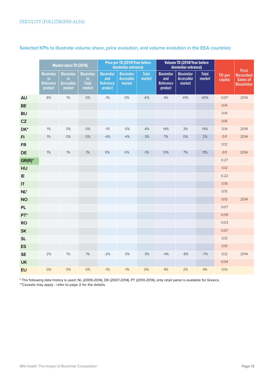|                        |                                                        | <b>Market share TD (2014)</b>                                 |                                                          | Price per TD (2014/Year before<br>biosimilar entrance)  |                                                  | Volume TD (2014/Year before<br>biosimilar entrance) |                                                         |                                           |                        | <b>First</b>            |                                                  |
|------------------------|--------------------------------------------------------|---------------------------------------------------------------|----------------------------------------------------------|---------------------------------------------------------|--------------------------------------------------|-----------------------------------------------------|---------------------------------------------------------|-------------------------------------------|------------------------|-------------------------|--------------------------------------------------|
|                        | <b>Biosimilar</b><br><b>VS</b><br>Reference<br>product | <b>Biosimilar</b><br><b>VS</b><br><b>Accessible</b><br>market | <b>Biosimilar</b><br><b>VS</b><br><b>Total</b><br>market | <b>Biosimilar</b><br>and<br><b>Reference</b><br>product | <b>Biosimilar</b><br><b>Accessible</b><br>market | <b>Total</b><br>market                              | <b>Biosimilar</b><br>and<br><b>Reference</b><br>product | <b>Biosimilar</b><br>Accessible<br>market | <b>Total</b><br>market | <b>TD</b> per<br>capita | <b>Recorded</b><br>Sales of<br><b>Biosimilar</b> |
| <b>AU</b>              | 8%                                                     | $1\%$                                                         | 0%                                                       | $-1%$                                                   | 0%                                               | $-6%$                                               | 4%                                                      | 41%                                       | 40%                    | 0.07                    | 2014                                             |
| <b>BE</b>              |                                                        |                                                               |                                                          |                                                         |                                                  |                                                     |                                                         |                                           |                        | 0.14                    |                                                  |
| <b>BU</b>              |                                                        |                                                               |                                                          |                                                         |                                                  |                                                     |                                                         |                                           |                        | 0.14                    |                                                  |
| CZ                     |                                                        |                                                               |                                                          |                                                         |                                                  |                                                     |                                                         |                                           |                        | 0.16                    |                                                  |
| DK*                    | 1%                                                     | $0\%$                                                         | 0%                                                       | $-1%$                                                   | $-5%$                                            | $-4%$                                               | 14%                                                     | 3%                                        | 14%                    | 0.14                    | 2014                                             |
| F1                     | 1%                                                     | $0\%$                                                         | $0\%$                                                    | $-4%$                                                   | $-4%$                                            | $-3%$                                               | $7%$                                                    | 0%                                        | 2%                     | 0.11                    | 2014                                             |
| <b>FR</b>              |                                                        |                                                               |                                                          |                                                         |                                                  |                                                     |                                                         |                                           |                        | 0.12                    |                                                  |
| <b>DE</b>              | 1%                                                     | $1\%$                                                         | 1%                                                       | 0%                                                      | 0%                                               | $-1%$                                               | 13%                                                     | 7%                                        | 11%                    | 0.11                    | 2014                                             |
| $GR(R)^*$              |                                                        |                                                               |                                                          |                                                         |                                                  |                                                     |                                                         |                                           |                        | 0.27                    |                                                  |
| HU                     |                                                        |                                                               |                                                          |                                                         |                                                  |                                                     |                                                         |                                           |                        | 0.12                    |                                                  |
| IE                     |                                                        |                                                               |                                                          |                                                         |                                                  |                                                     |                                                         |                                           |                        | 0.22                    |                                                  |
| $\mathsf{I}\mathsf{T}$ |                                                        |                                                               |                                                          |                                                         |                                                  |                                                     |                                                         |                                           |                        | 0.18                    |                                                  |
| $NL^*$                 |                                                        |                                                               |                                                          |                                                         |                                                  |                                                     |                                                         |                                           |                        | 0.15                    |                                                  |
| <b>NO</b>              |                                                        |                                                               |                                                          |                                                         |                                                  |                                                     |                                                         |                                           |                        | 0.10                    | 2014                                             |
| <b>PL</b>              |                                                        |                                                               |                                                          |                                                         |                                                  |                                                     |                                                         |                                           |                        | 0.07                    |                                                  |
| $PT^*$                 |                                                        |                                                               |                                                          |                                                         |                                                  |                                                     |                                                         |                                           |                        | 0.09                    |                                                  |
| <b>RO</b>              |                                                        |                                                               |                                                          |                                                         |                                                  |                                                     |                                                         |                                           |                        | 0.03                    |                                                  |
| <b>SK</b>              |                                                        |                                                               |                                                          |                                                         |                                                  |                                                     |                                                         |                                           |                        | 0.07                    |                                                  |
| <b>SL</b>              |                                                        |                                                               |                                                          |                                                         |                                                  |                                                     |                                                         |                                           |                        | 0.12                    |                                                  |
| <b>ES</b>              |                                                        |                                                               |                                                          |                                                         |                                                  |                                                     |                                                         |                                           |                        | 0.10                    |                                                  |
| <b>SE</b>              | 2%                                                     | 1%                                                            | 1%                                                       | $-2%$                                                   | $-3%$                                            | $-3%$                                               | $-4%$                                                   | $-8%$                                     | $-7%$                  | 0.12                    | 2014                                             |
| <b>UK</b>              |                                                        |                                                               |                                                          |                                                         |                                                  |                                                     |                                                         |                                           |                        | 0.04                    |                                                  |
| <b>EU</b>              | 0%                                                     | 0%                                                            | 0%                                                       | $-1%$                                                   | $-1%$                                            | 0%                                                  | 4%                                                      | 2%                                        | 4%                     | 0.10                    |                                                  |

#### **Selected KPIs to illustrate volume share, price evolution, and volume evolution in the EEA countries:**

\* The following data history is used: NL (2009-2014), DK (2007-2014), PT (2010-2014), only retail panel is available for Greece. \*\*Caveats may apply - refer to page 2 for the details.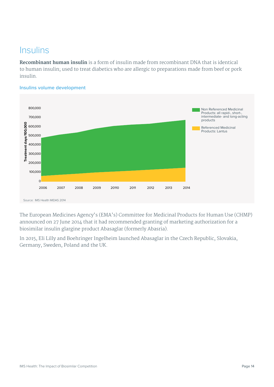### **Insulins**

**Recombinant human insulin** is a form of insulin made from recombinant DNA that is identical to human insulin; used to treat diabetics who are allergic to preparations made from beef or pork insulin.



**Insulins volume development**

The European Medicines Agency's (EMA's) Committee for Medicinal Products for Human Use (CHMP) announced on 27 June 2014 that it had recommended granting of marketing authorization for a biosimilar insulin glargine product Abasaglar (formerly Abasria).

In 2015, Eli Lilly and Boehringer Ingelheim launched Abasaglar in the Czech Republic, Slovakia, Germany, Sweden, Poland and the UK.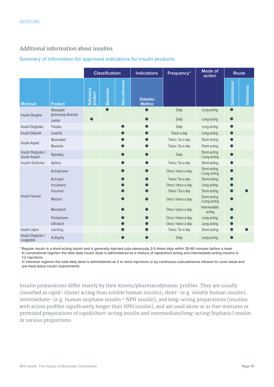#### Additional information about insulins

#### **Summary of information for approved indications for Insulin products**

|                                     |                                             |                      | <b>Classification</b> |               | <b>Indications</b>                 | Frequency*         | Mode of<br>action             |                     | <b>Route</b> |
|-------------------------------------|---------------------------------------------|----------------------|-----------------------|---------------|------------------------------------|--------------------|-------------------------------|---------------------|--------------|
| <b>Molecule</b>                     | <b>Product</b>                              | Reference<br>product | <b>Biosimilar</b>     | Non-reference | <b>Diabetes</b><br><b>Mellitus</b> |                    |                               | <b>Subcutaneous</b> | Intravenous  |
| Insulin Glargine                    | Abasaglar<br>(previously Abasria)<br>Lantus |                      |                       |               |                                    | Daily<br>Daily     | Long-acting<br>Long-acting    | $\bullet$           |              |
| Insulin Degludec                    | Tresiba                                     |                      |                       |               |                                    | Daily              | Long-acting                   |                     |              |
| Insulin Detemir                     | Levemir                                     |                      |                       |               |                                    | Twice a day        | Long-acting                   |                     |              |
| Insulin Aspart                      | Novorapid                                   |                      |                       |               |                                    | Twice / 5x a day   | Short-acting                  |                     |              |
|                                     | Novomix                                     |                      |                       |               |                                    | Twice / 5x a day   | Short-acting                  |                     |              |
| Insulin Degludec/<br>Insulin Aspart | Ryzodeg                                     |                      |                       |               |                                    | Daily              | Short-acting<br>/ Long-acting |                     |              |
| Insulin Glulisine                   | Apidra                                      |                      |                       |               |                                    | Twice / 5x a day   | Short-acting                  |                     |              |
|                                     | Actraphane                                  |                      |                       |               |                                    | Once / twice a day | Short-acting<br>/ Long-acting |                     |              |
|                                     | Actrapid                                    |                      |                       |               |                                    | Twice / 5x a day   | Short-acting                  |                     |              |
|                                     | Insulatard                                  |                      |                       |               |                                    | Once / twice a day | Long-acting                   |                     |              |
|                                     | Insuman                                     |                      |                       |               |                                    | Twice / 5x a day   | Short-acting                  |                     |              |
| Insulin Human                       | Mixtard                                     |                      |                       |               |                                    | Once / twice a day | Short-acting<br>/ Long-acting |                     |              |
|                                     | Monotard                                    |                      |                       |               |                                    | Once / twice a day | Intermediate<br>-acting       |                     |              |
|                                     | Protaphane                                  |                      |                       |               |                                    | Once / twice a day | Long-acting                   |                     |              |
|                                     | Ultratard                                   |                      |                       |               |                                    | Once / twice a day | Long-acting                   |                     |              |
| Insulin Lispro                      | Liprolog                                    |                      |                       |               |                                    | Twice / 5x a day   | Short-acting                  |                     |              |
| Insulin Degludec/<br>Liraglutide    | Xultophy                                    |                      |                       |               |                                    | Daily              | Long-acting                   |                     |              |

\* Regular insulin is a short-acting insulin and is generally injected subcutaneously 2-5 times daily within 30-60 minutes before a meal. In conventional regimen the total daily insulin dose is administered as a mixture of rapid/short-acting and intermediate-acting insulins in 1-2 injections.

In intensive regimen the total daily dose is administered as 3 or more injections or by continuous subcutaneous infusion to cover basal and pre-meal bolus insulin requirements.

Insulin preparations differ mainly by their kinetic/pharmacodynamic profiles. They are usually classified as rapid- (faster acting than soluble human insulin), short- (e.g. soluble human insulin), intermediate- (e.g. human isophane insulin = NPH insulin), and long-acting preparations (insulins with action profiles significantly longer than NPH insulin), and are used alone or as free mixtures or premixed preparations of rapid/short-acting insulin and intermediate/long-acting (biphasic) insulin in various proportions.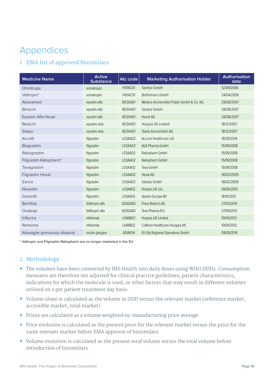# Appendices

#### 1 EMA list of approved Biosimilars

| <b>Medicine Name</b>           | <b>Active</b><br><b>Substance</b> | Atc code       | <b>Marketing Authorisation Holder</b>    | <b>Authorisation</b><br>date |  |  |
|--------------------------------|-----------------------------------|----------------|------------------------------------------|------------------------------|--|--|
| Omnitrope                      | somatropin                        | <b>H01AC01</b> | Sandoz GmbH                              | 12/04/2006                   |  |  |
| Valtropin*                     | somatropin                        | <b>H01AC01</b> | <b>BioPartners GmbH</b>                  | 24/04/2006                   |  |  |
| Abseamed                       | epoetin alfa                      | <b>B03XA01</b> | Medice Arzneimittel Pütter GmbH & Co. KG | 28/08/2007                   |  |  |
| <b>Binocrit</b>                | epoetin alfa                      | B03XA01        | Sandoz GmbH                              | 28/08/2007                   |  |  |
| Epoetin Alfa Hexal             | epoetin alfa                      | <b>B03XA01</b> | <b>Hexal AG</b>                          | 28/08/2007                   |  |  |
| Retacrit                       | epoetin zeta                      | B03XA01        | Hospira UK Limited                       | 18/12/2007                   |  |  |
| Silapo                         | epoetin zeta                      | <b>B03XA01</b> | Stada Arzneimittel AG                    | 18/12/2007                   |  |  |
| Accofil                        | filgrastim                        | L03AA02        | <b>Accord Healthcare Ltd</b>             | 18/09/2014                   |  |  |
| Biograstim                     | filgrastim                        | L03AA02        | AbZ-Pharma GmbH                          | 15/09/2008                   |  |  |
| Ratiograstim                   | filgrastim                        | L03AA02        | Ratiopharm GmbH                          | 15/09/2008                   |  |  |
| Filgrastim Ratiopharm*         | filgrastim                        | L03AA02        | Ratiopharm GmbH                          | 15/09/2008                   |  |  |
| Tevagrastim                    | filgrastim                        | L03AA02        | Teva GmbH                                | 15/09/2008                   |  |  |
| Filgrastim Hexal               | filgrastim                        | L03AA02        | <b>Hexal AG</b>                          | 06/02/2009                   |  |  |
| Zarzio                         | filgrastim                        | L03AA02        | Sandoz GmbH                              | 06/02/2009                   |  |  |
| Nivestim                       | filgrastim                        | L03AA02        | Hospira UK Ltd.                          | 08/06/2010                   |  |  |
| Grastofil                      | filgrastim                        | L03AA02        | Apotex Europe BV                         | 18/10/2013                   |  |  |
| Bemfola                        | follitropin alfa                  | G03GA05        | Finox Biotech AG                         | 27/03/2014                   |  |  |
| Ovaleap                        | follitropin alfa                  | G03GA05        | Teva Pharma B.V.                         | 27/09/2013                   |  |  |
| Inflectra                      | infliximab                        | L04AB02        | Hospira UK Limited                       | 10/09/2013                   |  |  |
| Remsima                        | infliximab                        | L04AB02        | Celltrion Healthcare Hungary Kft.        | 10/09/2013                   |  |  |
| Abasaglar (previously Abasria) | insulin glargine                  | A10AE04        | Eli Lilly Regional Operations GmbH       | 09/09/2014                   |  |  |

\* Valtropin and Filgrastim Ratiopharm are no longer marketed in the EU

#### 2 Methodology

- **•** The volumes have been converted by IMS Health into daily doses using WHO DDDs. Consumption measures are therefore not adjusted for clinical practice guidelines, patient characteristics, indications for which the molecule is used, or other factors that may result in different volumes utilised on a per patient treatment day basis.
- **•** Volume share is calculated as the volume in DDD versus the relevant market (reference market, accessible market, total market).
- **•** Prices are calculated as a volume weighted ex-manufacturing price average.
- **•** Price evolution is calculated as the present price for the relevant market versus the price for the same relevant market before EMA approval of biosimilars.
- **•** Volume evolution is calculated as the present total volume versus the total volume before introduction of biosimilars.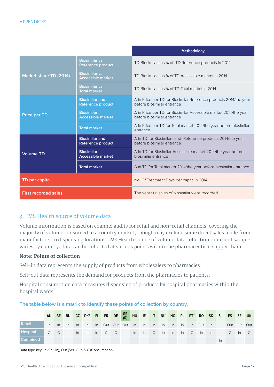|                             |                                                   | Methodology                                                                                       |  |  |  |  |  |  |  |
|-----------------------------|---------------------------------------------------|---------------------------------------------------------------------------------------------------|--|--|--|--|--|--|--|
|                             | <b>Biosimilar vs</b><br>Reference product         | TD Biosimilars as % of TD Reference products in 2014                                              |  |  |  |  |  |  |  |
| Market share TD (2014)      | <b>Biosimilar vs</b><br><b>Accessible market</b>  | TD Biosimilars as % of TD Accessible market in 2014                                               |  |  |  |  |  |  |  |
|                             | <b>Biosimilar vs</b><br><b>Total market</b>       | TD Biosimilars as % of TD Total market in 2014                                                    |  |  |  |  |  |  |  |
|                             | <b>Biosimilar and</b><br><b>Reference product</b> | ∆ in Price per TD for Biosimilar Reference products 2014/the year<br>before biosimilar entrance   |  |  |  |  |  |  |  |
| <b>Price per TD</b>         | <b>Biosimilar</b><br><b>Accessible market</b>     | ∆ in Price per TD for Biosimilar Accessible market 2014/the year<br>before biosimilar entrance    |  |  |  |  |  |  |  |
|                             | <b>Total market</b>                               | ∆ in Price per TD for Total market 2014/the year before biosimilar<br>entrance                    |  |  |  |  |  |  |  |
|                             | <b>Biosimilar and</b><br>Reference product        | $\Delta$ in TD for Biosimilars and Reference products 2014/the year<br>before biosimilar entrance |  |  |  |  |  |  |  |
| <b>Volume TD</b>            | <b>Biosimilar</b><br><b>Accessible market</b>     | $\Delta$ in TD for Biosimilar Accessible market 2014/the year before<br>biosimilar entrance       |  |  |  |  |  |  |  |
|                             | <b>Total market</b>                               | $\Delta$ in TD for Total market 2014/the year before biosimilar entrance                          |  |  |  |  |  |  |  |
| TD per capita               |                                                   | No. Of Treatment Days per capita in 2014                                                          |  |  |  |  |  |  |  |
| <b>First recorded sales</b> |                                                   | The year first sales of biosimilar were recorded                                                  |  |  |  |  |  |  |  |

#### 3. IMS Health source of volume data

Volume information is based on channel audits for retail and non-retail channels, covering the majority of volume consumed in a country market, though may exclude some direct sales made from manufacturer to dispensing locations. IMS Health source of volume data collection route and sample varies by country; data can be collected at various points within the pharmaceutical supply chain.

#### **Note: Points of collection**

Sell-in data represents the supply of products from wholesalers to pharmacies.

Sell-out data represents the demand for products from the pharmacies to patients.

Hospital consumption data measures dispensing of products by hospital pharmacies within the hospital wards.

|                 |    |  | AU BE BU CZ DK* FI FR DE GR HU IE IT NL* NO PL PT* RO SK SL ES SE UK |  |  |  |  |  |  |       |                                 |  |
|-----------------|----|--|----------------------------------------------------------------------|--|--|--|--|--|--|-------|---------------------------------|--|
| <b>Retail</b>   | ln |  | In In In In In Out Out Out In In In In In In Out In Out Out Out Out  |  |  |  |  |  |  |       |                                 |  |
| <b>Hospital</b> |    |  | $C$ $C$ $\ln$ $\ln$ $\ln$ $C$ $C$                                    |  |  |  |  |  |  |       | In In C In In In C In In C In C |  |
| <b>Combined</b> |    |  |                                                                      |  |  |  |  |  |  | $\ln$ |                                 |  |

**The table below is a matrix to identify these points of collection by country.**

Data type key: In (Sell-In), Out (Sell-Out) & C (Consumption)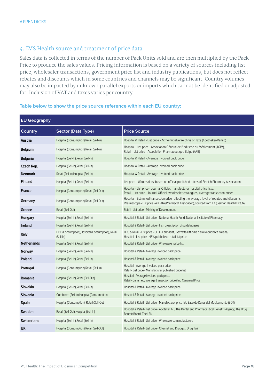#### 4. IMS Health source and treatment of price data

Sales data is collected in terms of the number of Pack Units sold and are then multiplied by the Pack Price to produce the sales values. Pricing information is based on a variety of sources including list price, wholesaler transactions, government price list and industry publications, but does not reflect rebates and discounts which in some countries and channels may be significant. Country volumes may also be impacted by unknown parallel exports or imports which cannot be identified or adjusted for. Inclusion of VAT and taxes varies per country.

| <b>EU Geography</b> |                                                                |                                                                                                                                                                                                         |  |  |  |  |
|---------------------|----------------------------------------------------------------|---------------------------------------------------------------------------------------------------------------------------------------------------------------------------------------------------------|--|--|--|--|
| Country             | Sector (Data Type)                                             | <b>Price Source</b>                                                                                                                                                                                     |  |  |  |  |
| Austria             | Hospital (Consumption), Retail (Sell-In)                       | Hospital & Retail - List price - Arzneimittelverzeichnis or Taxe (Apotheker-Verlag)                                                                                                                     |  |  |  |  |
| <b>Belgium</b>      | Hospital (Consumption), Retail (Sell-In)                       | Hospital - List price - Association Général de l'Industrie du Médicament (AGIM),<br>Retail - List price - Association Pharmaceutique Belge (APB)                                                        |  |  |  |  |
| <b>Bulgaria</b>     | Hospital (Sell-In), Retail (Sell-In)                           | Hospital & Retail - Average invoiced pack price                                                                                                                                                         |  |  |  |  |
| Czech Rep.          | Hospital (Sell-In), Retail (Sell-In)                           | Hospital & Retail - Average invoiced pack price                                                                                                                                                         |  |  |  |  |
| <b>Denmark</b>      | Retail (Sell-In), Hospital (Sell-In)                           | Hospital & Retail - Average invoiced pack price                                                                                                                                                         |  |  |  |  |
| <b>Finland</b>      | Hospital (Sell-In), Retail (Sell-In)                           | List price - Wholesalers, based on official published prices of Finnish Pharmacy Association                                                                                                            |  |  |  |  |
| <b>France</b>       | Hospital (Consumption), Retail (Sell-Out)                      | Hospital - List price - Journal Officiel, manufacturer hospital price lists,<br>Retail - List price - Journal Officiel, wholesaler catalogues, average transaction prices                               |  |  |  |  |
| Germany             | Hospital (Consumption), Retail (Sell-Out)                      | Hospital - Estimated transaction price reflecting the average level of rebates and discounts,<br>Pharmascope - List price - ABDATA (Pharmacist Association), sourced from IFA (German Health Institute) |  |  |  |  |
| Greece              | Retail (Sell-Out)                                              | Retail - List price - Ministry of Development                                                                                                                                                           |  |  |  |  |
| <b>Hungary</b>      | Hospital (Sell-In), Retail (Sell-In)                           | Hospital & Retail - List price - National Health Fund, National Institute of Pharmacy                                                                                                                   |  |  |  |  |
| Ireland             | Hospital (Sell-In), Retail (Sell-In)                           | Hospital & Retail - List price - Irish prescription drug databases                                                                                                                                      |  |  |  |  |
| Italy               | DPC (Consumption), Hospital (Consumption), Retail<br>(Sell-In) | DPC & Retail - List price - CFO - Farmadati, Gazzetta Ufficiale della Repubblica Italiana,<br>Hospital - List price - 45% public level retail list price                                                |  |  |  |  |
| <b>Netherlands</b>  | Hospital (Sell-In), Retail (Sell-In)                           | Hospital & Retail - List price - Wholesaler price list                                                                                                                                                  |  |  |  |  |
| <b>Norway</b>       | Hospital (Sell-In), Retail (Sell-In)                           | Hospital & Retail - Average invoiced pack price                                                                                                                                                         |  |  |  |  |
| Poland              | Hospital (Sell-In), Retail (Sell-In)                           | Hospital & Retail - Average invoiced pack price                                                                                                                                                         |  |  |  |  |
| Portugal            | Hospital (Consumption), Retail (Sell-In)                       | Hospital - Average invoiced pack price,<br>Retail - List price - Manufacturer published price list                                                                                                      |  |  |  |  |
| Romania             | Hospital (Sell-In), Retail (Sell-Out)                          | Hospital - Average invoiced pack price,<br>Retail - Canamed, average transaction price if no Canamed Price                                                                                              |  |  |  |  |
| Slovakia            | Hospital (Sell-In), Retail (Sell-In)                           | Hospital & Retail - Average invoiced pack price                                                                                                                                                         |  |  |  |  |
| Slovenia            | Combined (Sell-In), Hospital (Consumption)                     | Hospital & Retail - Average invoiced pack price                                                                                                                                                         |  |  |  |  |
| Spain               | Hospital (Consumption), Retail (Sell-Out)                      | Hospital & Retail - List price - Manufacturer price list, Base de Datos del Medicamento (BOT)                                                                                                           |  |  |  |  |
| Sweden              | Retail (Sell-Out), Hospital (Sell-In)                          | Hospital & Retail - List price - Apoteket AB, The Dental and Pharmaceutical Benefits Agency, The Drug<br>Benefit Board, The LFN                                                                         |  |  |  |  |
| <b>Switzerland</b>  | Hospital (Sell-In), Retail (Sell-In)                           | Hospital & Retail - List price - Wholesalers, manufacturers                                                                                                                                             |  |  |  |  |
| UK                  | Hospital (Consumption), Retail (Sell-Out)                      | Hospital & Retail - List price - Chemist and Druggist, Drug Tariff                                                                                                                                      |  |  |  |  |

#### **Table below to show the price source reference within each EU country:**